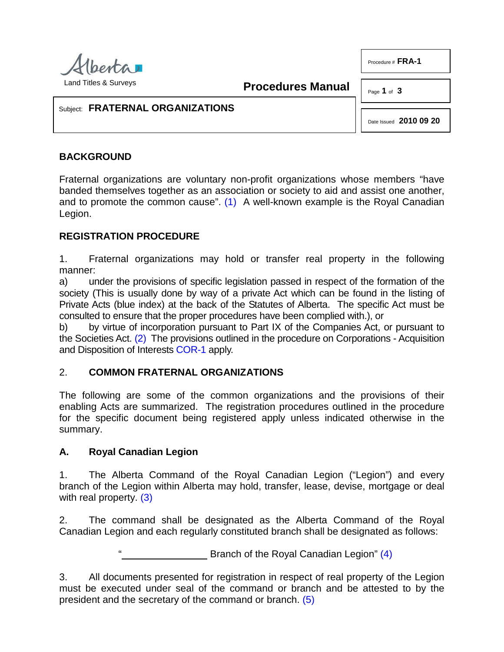

<span id="page-0-0"></span>**Procedures Manual**

Procedure # **FRA-1**

Page **1** of **3**

#### Subject: **FRATERNAL ORGANIZATIONS**

Date Issued **2010 09 20**

# **BACKGROUND**

Fraternal organizations are voluntary non-profit organizations whose members "have banded themselves together as an association or society to aid and assist one another, and to promote the common cause". [\(1\)](#page-2-0) A well-known example is the Royal Canadian Legion.

## **REGISTRATION PROCEDURE**

1. Fraternal organizations may hold or transfer real property in the following manner:

a) under the provisions of specific legislation passed in respect of the formation of the society (This is usually done by way of a private Act which can be found in the listing of Private Acts (blue index) at the back of the Statutes of Alberta. The specific Act must be consulted to ensure that the proper procedures have been complied with.), or

<span id="page-0-1"></span>b) by virtue of incorporation pursuant to Part IX of the Companies Act, or pursuant to the Societies Act. [\(2\)](#page-2-1) The provisions outlined in the procedure on Corporations - Acquisition and Disposition of Interests [COR-1](http://www.servicealberta.ca/pdf/ltmanual/COR-1.PDF) apply.

# 2. **COMMON FRATERNAL ORGANIZATIONS**

The following are some of the common organizations and the provisions of their enabling Acts are summarized. The registration procedures outlined in the procedure for the specific document being registered apply unless indicated otherwise in the summary.

### **A. Royal Canadian Legion**

1. The Alberta Command of the Royal Canadian Legion ("Legion") and every branch of the Legion within Alberta may hold, transfer, lease, devise, mortgage or deal with real property. [\(3\)](#page-2-2)

2. The command shall be designated as the Alberta Command of the Royal Canadian Legion and each regularly constituted branch shall be designated as follows:

<span id="page-0-4"></span><span id="page-0-3"></span><span id="page-0-2"></span>Branch of the Royal Canadian Legion" [\(4\)](#page-2-3)

3. All documents presented for registration in respect of real property of the Legion must be executed under seal of the command or branch and be attested to by the president and the secretary of the command or branch. [\(5\)](#page-2-4)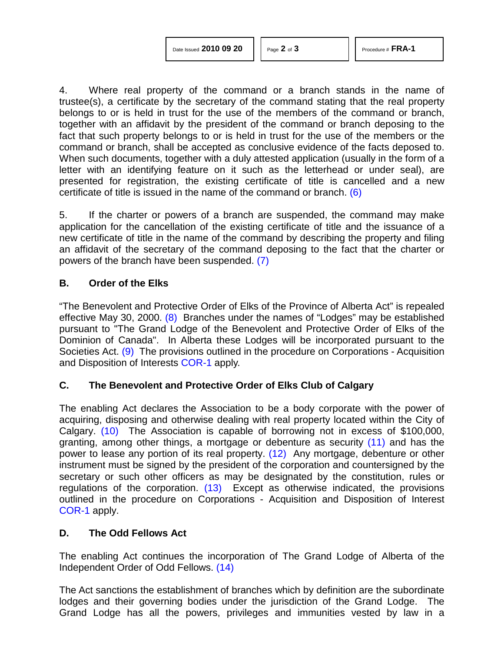4. Where real property of the command or a branch stands in the name of trustee(s), a certificate by the secretary of the command stating that the real property belongs to or is held in trust for the use of the members of the command or branch, together with an affidavit by the president of the command or branch deposing to the fact that such property belongs to or is held in trust for the use of the members or the command or branch, shall be accepted as conclusive evidence of the facts deposed to. When such documents, together with a duly attested application (usually in the form of a letter with an identifying feature on it such as the letterhead or under seal), are presented for registration, the existing certificate of title is cancelled and a new certificate of title is issued in the name of the command or branch. [\(6\)](#page-2-5)

<span id="page-1-0"></span>5. If the charter or powers of a branch are suspended, the command may make application for the cancellation of the existing certificate of title and the issuance of a new certificate of title in the name of the command by describing the property and filing an affidavit of the secretary of the command deposing to the fact that the charter or powers of the branch have been suspended. [\(7\)](#page-2-6)

#### <span id="page-1-1"></span>**B. Order of the Elks**

<span id="page-1-2"></span>"The Benevolent and Protective Order of Elks of the Province of Alberta Act" is repealed effective May 30, 2000. [\(8\)](#page-2-7) Branches under the names of "Lodges" may be established pursuant to "The Grand Lodge of the Benevolent and Protective Order of Elks of the Dominion of Canada". In Alberta these Lodges will be incorporated pursuant to the Societies Act. [\(9\)](#page-2-8) The provisions outlined in the procedure on Corporations - Acquisition and Disposition of Interests [COR-1](http://www.servicealberta.ca/pdf/ltmanual/COR-1.PDF) apply.

### <span id="page-1-3"></span>**C. The Benevolent and Protective Order of Elks Club of Calgary**

<span id="page-1-6"></span><span id="page-1-5"></span><span id="page-1-4"></span>The enabling Act declares the Association to be a body corporate with the power of acquiring, disposing and otherwise dealing with real property located within the City of Calgary. [\(10\)](#page-2-9) The Association is capable of borrowing not in excess of \$100,000, granting, among other things, a mortgage or debenture as security [\(11\)](#page-2-10) and has the power to lease any portion of its real property. [\(12\)](#page-2-11) Any mortgage, debenture or other instrument must be signed by the president of the corporation and countersigned by the secretary or such other officers as may be designated by the constitution, rules or regulations of the corporation. [\(13\)](#page-2-12) Except as otherwise indicated, the provisions outlined in the procedure on Corporations - Acquisition and Disposition of Interest [COR-1](http://www.servicealberta.ca/pdf/ltmanual/COR-1.PDF) apply.

#### <span id="page-1-7"></span>**D. The Odd Fellows Act**

<span id="page-1-8"></span>The enabling Act continues the incorporation of The Grand Lodge of Alberta of the Independent Order of Odd Fellows. [\(14\)](#page-2-13)

The Act sanctions the establishment of branches which by definition are the subordinate lodges and their governing bodies under the jurisdiction of the Grand Lodge. The Grand Lodge has all the powers, privileges and immunities vested by law in a